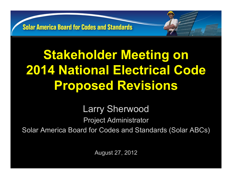# **Stakeholder Meeting on 2014 National Electrical Code Proposed Revisions**

Larry Sherwood Project Administrator Solar America Board for Codes and Standards (Solar ABCs)

August 27, 2012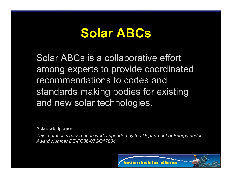#### **Solar ABCs**

Solar ABCs is a collaborative effort among experts to provide coordinated recommendations to codes and standards making bodies for existing and new solar technologies.

Acknowledgement

*This material is based upon work supported by the Department of Energy under Award Number DE-FC36-07GO17034.*

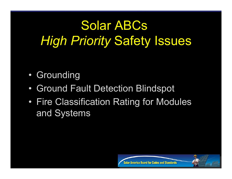## Solar ABCs *High Priority* Safety Issues

- Grounding
- Ground Fault Detection Blindspot
- Fire Classification Rating for Modules and Systems



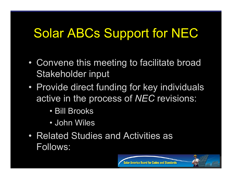#### Solar ABCs Support for NEC

- Convene this meeting to facilitate broad Stakeholder input
- Provide direct funding for key individuals active in the process of *NEC* revisions:
	- Bill Brooks
	- John Wiles
- Related Studies and Activities as Follows:

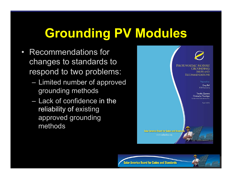## **Grounding PV Modules**

- Recommendations for changes to standards to respond to two problems:
	- Limited number of approved grounding methods
	- Lack of confidence in the reliability of existing approved grounding methods



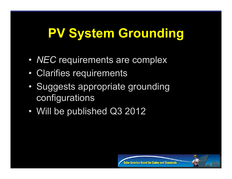### **PV System Grounding**

- *NEC* requirements are complex
- Clarifies requirements
- Suggests appropriate grounding configurations
- Will be published Q3 2012



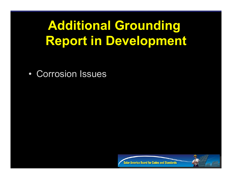### **Additional Grounding Report in Development**

• Corrosion Issues



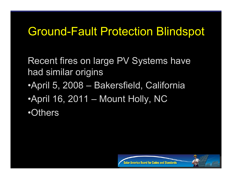#### Ground-Fault Protection Blindspot

Recent fires on large PV Systems have had similar origins •April 5, 2008 – Bakersfield, California •April 16, 2011 – Mount Holly, NC •Others

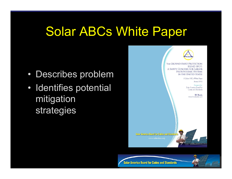#### Solar ABCs White Paper

- Describes problem
- Identifies potential mitigation strategies



**Solar America Board for Codes and Standards** 

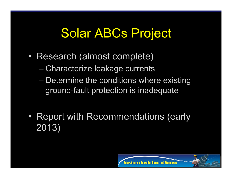#### Solar ABCs Project

- Research (almost complete)
	- Characterize leakage currents
	- Determine the conditions where existing ground-fault protection is inadequate
- Report with Recommendations (early 2013)

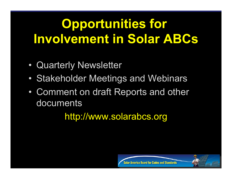## **Opportunities for Involvement in Solar ABCs**

- Quarterly Newsletter
- Stakeholder Meetings and Webinars
- Comment on draft Reports and other documents

http://www.solarabcs.org